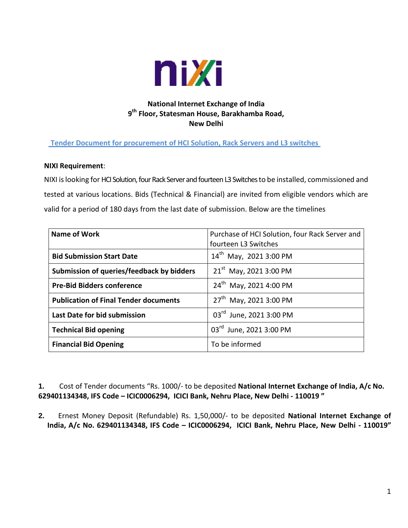

## **National Internet Exchange of India 9 th Floor, Statesman House, Barakhamba Road, New Delhi**

## **Tender Document for procurement of HCI Solution, Rack Servers and L3 switches**

#### **NIXI Requirement**:

NIXI islooking for HCI Solution, four Rack Server and fourteen L3 Switches to be installed, commissioned and tested at various locations. Bids (Technical & Financial) are invited from eligible vendors which are valid for a period of 180 days from the last date of submission. Below are the timelines

| Name of Work                                 | Purchase of HCI Solution, four Rack Server and<br>fourteen L3 Switches |
|----------------------------------------------|------------------------------------------------------------------------|
| <b>Bid Submission Start Date</b>             | 14 <sup>th</sup> May, 2021 3:00 PM                                     |
| Submission of queries/feedback by bidders    | $21^{st}$ May, 2021 3:00 PM                                            |
| <b>Pre-Bid Bidders conference</b>            | 24 <sup>th</sup> May, 2021 4:00 PM                                     |
| <b>Publication of Final Tender documents</b> | 27 <sup>th</sup> May, 2021 3:00 PM                                     |
| Last Date for bid submission                 | 03rd June, 2021 3:00 PM                                                |
| <b>Technical Bid opening</b>                 | 03rd June, 2021 3:00 PM                                                |
| <b>Financial Bid Opening</b>                 | To be informed                                                         |

**1.** Cost of Tender documents "Rs. 1000/- to be deposited **National Internet Exchange of India, A/c No. 629401134348, IFS Code – ICIC0006294, ICICI Bank, Nehru Place, New Delhi - 110019 "**

**2.** Ernest Money Deposit (Refundable) Rs. 1,50,000/- to be deposited **National Internet Exchange of India, A/c No. 629401134348, IFS Code – ICIC0006294, ICICI Bank, Nehru Place, New Delhi - 110019"**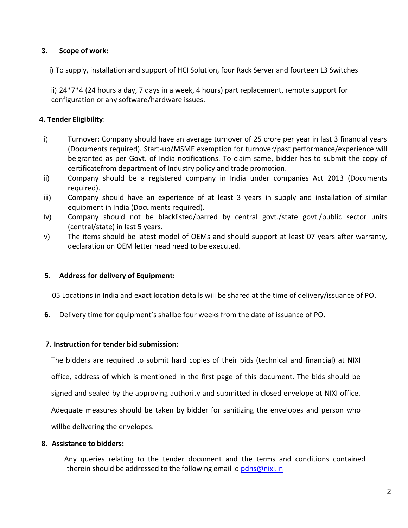### **3. Scope of work:**

i) To supply, installation and support of HCI Solution, four Rack Server and fourteen L3 Switches

ii) 24\*7\*4 (24 hours a day, 7 days in a week, 4 hours) part replacement, remote support for configuration or any software/hardware issues.

### **4. Tender Eligibility**:

- i) Turnover: Company should have an average turnover of 25 crore per year in last 3 financial years (Documents required). Start-up/MSME exemption for turnover/past performance/experience will be granted as per Govt. of India notifications. To claim same, bidder has to submit the copy of certificatefrom department of Industry policy and trade promotion.
- ii) Company should be a registered company in India under companies Act 2013 (Documents required).
- iii) Company should have an experience of at least 3 years in supply and installation of similar equipment in India (Documents required).
- iv) Company should not be blacklisted/barred by central govt./state govt./public sector units (central/state) in last 5 years.
- v) The items should be latest model of OEMs and should support at least 07 years after warranty, declaration on OEM letter head need to be executed.

#### **5. Address for delivery of Equipment:**

05 Locations in India and exact location details will be shared at the time of delivery/issuance of PO.

**6.** Delivery time for equipment's shallbe four weeks from the date of issuance of PO.

#### **7. Instruction for tender bid submission:**

The bidders are required to submit hard copies of their bids (technical and financial) at NIXI office, address of which is mentioned in the first page of this document. The bids should be signed and sealed by the approving authority and submitted in closed envelope at NIXI office. Adequate measures should be taken by bidder for sanitizing the envelopes and person who willbe delivering the envelopes.

#### **8. Assistance to bidders:**

 Any queries relating to the tender document and the terms and conditions contained therein should be addressed to the following email id [pdns@nixi.in](mailto:pdns@nixi.in)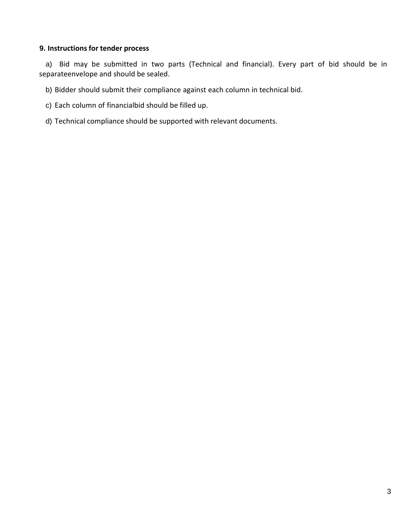#### **9. Instructions for tender process**

a) Bid may be submitted in two parts (Technical and financial). Every part of bid should be in separateenvelope and should be sealed.

b) Bidder should submit their compliance against each column in technical bid.

- c) Each column of financialbid should be filled up.
- d) Technical compliance should be supported with relevant documents.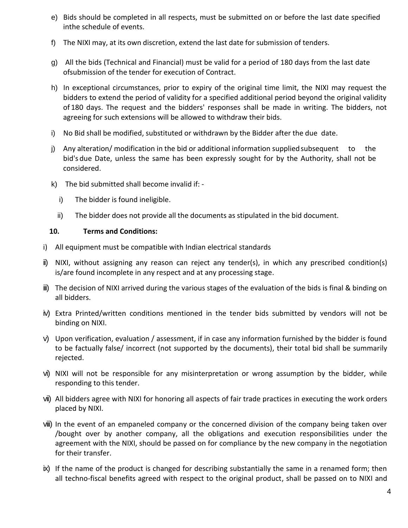- e) Bids should be completed in all respects, must be submitted on or before the last date specified inthe schedule of events.
- f) The NIXI may, at its own discretion, extend the last date for submission of tenders.
- g) All the bids (Technical and Financial) must be valid for a period of 180 days from the last date of submission of the tender for execution of Contract.
- h) In exceptional circumstances, prior to expiry of the original time limit, the NIXI may request the bidders to extend the period of validity for a specified additional period beyond the original validity of 180 days. The request and the bidders' responses shall be made in writing. The bidders, not agreeing for such extensions will be allowed to withdraw their bids.
- i) No Bid shall be modified, substituted or withdrawn by the Bidder after the due date.
- j) Any alteration/ modification in the bid or additional information supplied subsequent to the bid's due Date, unless the same has been expressly sought for by the Authority, shall not be considered.
- k) The bid submitted shall become invalid if:
	- i) The bidder is found ineligible.
	- ii) The bidder does not provide all the documents as stipulated in the bid document.

## **10. Terms and Conditions:**

- i) All equipment must be compatible with Indian electrical standards
- ii) NIXI, without assigning any reason can reject any tender(s), in which any prescribed condition(s) is/are found incomplete in any respect and at any processing stage.
- iii) The decision of NIXI arrived during the various stages of the evaluation of the bids is final & binding on all bidders.
- iv) Extra Printed/written conditions mentioned in the tender bids submitted by vendors will not be binding on NIXI.
- v) Upon verification, evaluation / assessment, if in case any information furnished by the bidder is found to be factually false/ incorrect (not supported by the documents), their total bid shall be summarily rejected.
- vi) NIXI will not be responsible for any misinterpretation or wrong assumption by the bidder, while responding to this tender.
- vii) All bidders agree with NIXI for honoring all aspects of fair trade practices in executing the work orders placed by NIXI.
- viii) In the event of an empaneled company or the concerned division of the company being taken over /bought over by another company, all the obligations and execution responsibilities under the agreement with the NIXI, should be passed on for compliance by the new company in the negotiation for their transfer.
- ix) If the name of the product is changed for describing substantially the same in a renamed form; then all techno-fiscal benefits agreed with respect to the original product, shall be passed on to NIXI and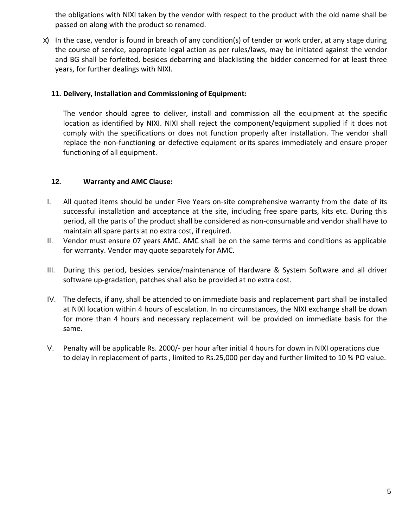the obligations with NIXI taken by the vendor with respect to the product with the old name shall be passed on along with the product so renamed.

x) In the case, vendor is found in breach of any condition(s) of tender or work order, at any stage during the course of service, appropriate legal action as per rules/laws, may be initiated against the vendor and BG shall be forfeited, besides debarring and blacklisting the bidder concerned for at least three years, for further dealings with NIXI.

### **11. Delivery, Installation and Commissioning of Equipment:**

The vendor should agree to deliver, install and commission all the equipment at the specific location as identified by NIXI. NIXI shall reject the component/equipment supplied if it does not comply with the specifications or does not function properly after installation. The vendor shall replace the non-functioning or defective equipment orits spares immediately and ensure proper functioning of all equipment.

## **12. Warranty and AMC Clause:**

- I. All quoted items should be under Five Years on-site comprehensive warranty from the date of its successful installation and acceptance at the site, including free spare parts, kits etc. During this period, all the parts of the product shall be considered as non-consumable and vendor shall have to maintain all spare parts at no extra cost, if required.
- II. Vendor must ensure 07 years AMC. AMC shall be on the same terms and conditions as applicable for warranty. Vendor may quote separately for AMC.
- III. During this period, besides service/maintenance of Hardware & System Software and all driver software up-gradation, patches shall also be provided at no extra cost.
- IV. The defects, if any, shall be attended to on immediate basis and replacement part shall be installed at NIXI location within 4 hours of escalation. In no circumstances, the NIXI exchange shall be down for more than 4 hours and necessary replacement will be provided on immediate basis for the same.
- V. Penalty will be applicable Rs. 2000/- per hour after initial 4 hours for down in NIXI operations due to delay in replacement of parts , limited to Rs.25,000 per day and further limited to 10 % PO value.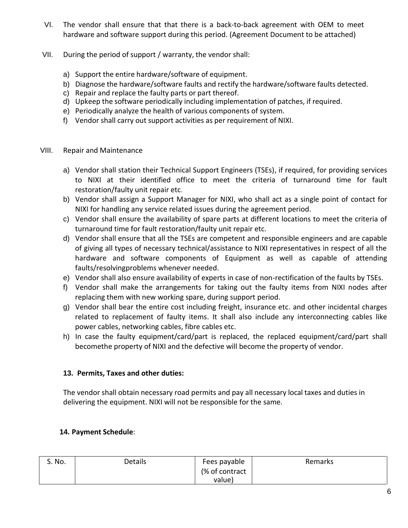- VI. The vendor shall ensure that that there is a back-to-back agreement with OEM to meet hardware and software support during this period. (Agreement Document to be attached)
- VII. During the period of support / warranty, the vendor shall:
	- a) Support the entire hardware/software of equipment.
	- b) Diagnose the hardware/software faults and rectify the hardware/software faults detected.
	- c) Repair and replace the faulty parts or part thereof.
	- d) Upkeep the software periodically including implementation of patches, if required.
	- e) Periodically analyze the health of various components of system.
	- f) Vendor shall carry out support activities as per requirement of NIXI.
- VIII. Repair and Maintenance
	- a) Vendor shall station their Technical Support Engineers (TSEs), if required, for providing services to NIXI at their identified office to meet the criteria of turnaround time for fault restoration/faulty unit repair etc.
	- b) Vendor shall assign a Support Manager for NIXI, who shall act as a single point of contact for NIXI for handling any service related issues during the agreement period.
	- c) Vendor shall ensure the availability of spare parts at different locations to meet the criteria of turnaround time for fault restoration/faulty unit repair etc.
	- d) Vendor shall ensure that all the TSEs are competent and responsible engineers and are capable of giving all types of necessary technical/assistance to NIXI representatives in respect of all the hardware and software components of Equipment as well as capable of attending faults/resolvingproblems whenever needed.
	- e) Vendor shall also ensure availability of experts in case of non-rectification of the faults by TSEs.
	- f) Vendor shall make the arrangements for taking out the faulty items from NIXI nodes after replacing them with new working spare, during support period.
	- g) Vendor shall bear the entire cost including freight, insurance etc. and other incidental charges related to replacement of faulty items. It shall also include any interconnecting cables like power cables, networking cables, fibre cables etc.
	- h) In case the faulty equipment/card/part is replaced, the replaced equipment/card/part shall becomethe property of NIXI and the defective will become the property of vendor.

## **13. Permits, Taxes and other duties:**

The vendor shall obtain necessary road permits and pay all necessary local taxes and duties in delivering the equipment. NIXI will not be responsible for the same.

## **14. Payment Schedule**:

| S. No. | Details | Fees payable   | <b>Remarks</b> |
|--------|---------|----------------|----------------|
|        |         | (% of contract |                |
|        |         | value)         |                |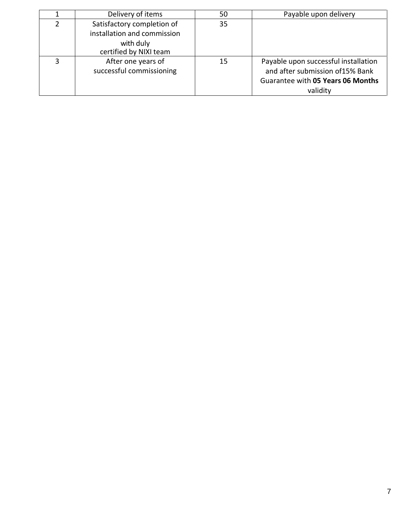|               | Delivery of items                                         | 50 | Payable upon delivery                                                                                                     |
|---------------|-----------------------------------------------------------|----|---------------------------------------------------------------------------------------------------------------------------|
| $\mathcal{P}$ | Satisfactory completion of<br>installation and commission | 35 |                                                                                                                           |
|               | with duly<br>certified by NIXI team                       |    |                                                                                                                           |
| ર             | After one years of<br>successful commissioning            | 15 | Payable upon successful installation<br>and after submission of 15% Bank<br>Guarantee with 05 Years 06 Months<br>validity |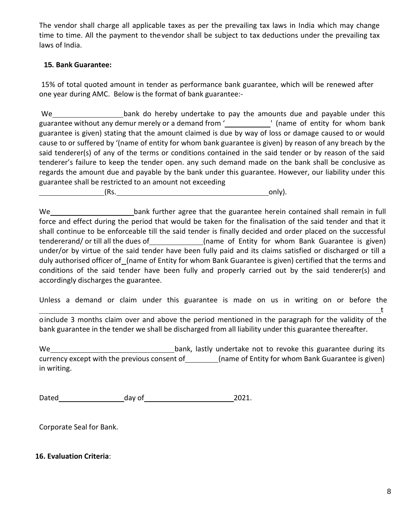The vendor shall charge all applicable taxes as per the prevailing tax laws in India which may change time to time. All the payment to thevendor shall be subject to tax deductions under the prevailing tax laws of India.

### **15. Bank Guarantee:**

15% of total quoted amount in tender as performance bank guarantee, which will be renewed after one year during AMC. Below is the format of bank guarantee:-

We bank do hereby undertake to pay the amounts due and payable under this guarantee without any demur merely or a demand from '\_\_\_\_\_\_\_\_\_\_\_\_' (name of entity for whom bank guarantee is given) stating that the amount claimed is due by way of loss or damage caused to or would cause to or suffered by '(name of entity for whom bank guarantee is given) by reason of any breach by the said tenderer(s) of any of the terms or conditions contained in the said tender or by reason of the said tenderer's failure to keep the tender open. any such demand made on the bank shall be conclusive as regards the amount due and payable by the bank under this guarantee. However, our liability under this guarantee shall be restricted to an amount not exceeding

 $(Rs.$  only).

We **bank further agree that the guarantee herein contained shall remain in full** force and effect during the period that would be taken for the finalisation of the said tender and that it shall continue to be enforceable till the said tender is finally decided and order placed on the successful tendererand/ or till all the dues of \_\_\_\_\_\_\_\_\_\_\_\_\_\_(name of Entity for whom Bank Guarantee is given) under/or by virtue of the said tender have been fully paid and its claims satisfied or discharged or till a duly authorised officer of (name of Entity for whom Bank Guarantee is given) certified that the terms and conditions of the said tender have been fully and properly carried out by the said tenderer(s) and accordingly discharges the guarantee.

Unless a demand or claim under this guarantee is made on us in writing on or before the

oinclude 3 months claim over and above the period mentioned in the paragraph for the validity of the bank guarantee in the tender we shall be discharged from all liability under this guarantee thereafter.

We bank, lastly undertake not to revoke this guarantee during its currency except with the previous consent of (name of Entity for whom Bank Guarantee is given) in writing.

Dated day of 2021.

Corporate Seal for Bank.

### **16. Evaluation Criteria**:

t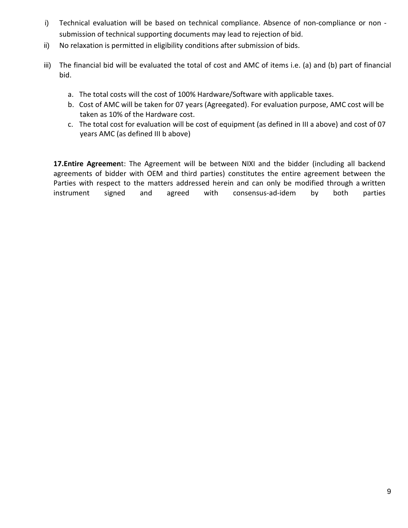- i) Technical evaluation will be based on technical compliance. Absence of non-compliance or non submission of technical supporting documents may lead to rejection of bid.
- ii) No relaxation is permitted in eligibility conditions after submission of bids.
- iii) The financial bid will be evaluated the total of cost and AMC of items i.e. (a) and (b) part of financial bid.
	- a. The total costs will the cost of 100% Hardware/Software with applicable taxes.
	- b. Cost of AMC will be taken for 07 years (Agreegated). For evaluation purpose, AMC cost will be taken as 10% of the Hardware cost.
	- c. The total cost for evaluation will be cost of equipment (as defined in III a above) and cost of 07 years AMC (as defined III b above)

**17.Entire Agreemen**t: The Agreement will be between NIXI and the bidder (including all backend agreements of bidder with OEM and third parties) constitutes the entire agreement between the Parties with respect to the matters addressed herein and can only be modified through a written instrument signed and agreed with consensus-ad-idem by both parties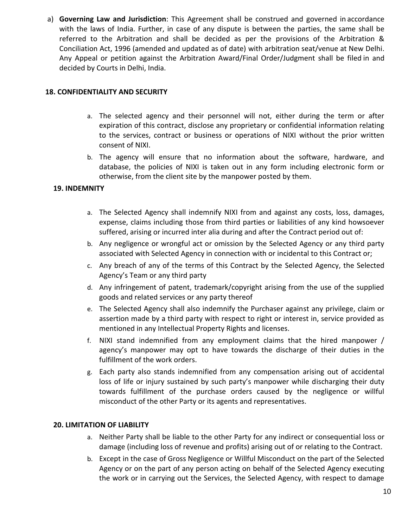a) **Governing Law and Jurisdiction**: This Agreement shall be construed and governed in accordance with the laws of India. Further, in case of any dispute is between the parties, the same shall be referred to the Arbitration and shall be decided as per the provisions of the Arbitration & Conciliation Act, 1996 (amended and updated as of date) with arbitration seat/venue at New Delhi. Any Appeal or petition against the Arbitration Award/Final Order/Judgment shall be filed in and decided by Courts in Delhi, India.

### **18. CONFIDENTIALITY AND SECURITY**

- a. The selected agency and their personnel will not, either during the term or after expiration of this contract, disclose any proprietary or confidential information relating to the services, contract or business or operations of NIXI without the prior written consent of NIXI.
- b. The agency will ensure that no information about the software, hardware, and database, the policies of NIXI is taken out in any form including electronic form or otherwise, from the client site by the manpower posted by them.

## **19. INDEMNITY**

- a. The Selected Agency shall indemnify NIXI from and against any costs, loss, damages, expense, claims including those from third parties or liabilities of any kind howsoever suffered, arising or incurred inter alia during and after the Contract period out of:
- b. Any negligence or wrongful act or omission by the Selected Agency or any third party associated with Selected Agency in connection with or incidental to this Contract or;
- c. Any breach of any of the terms of this Contract by the Selected Agency, the Selected Agency's Team or any third party
- d. Any infringement of patent, trademark/copyright arising from the use of the supplied goods and related services or any party thereof
- e. The Selected Agency shall also indemnify the Purchaser against any privilege, claim or assertion made by a third party with respect to right or interest in, service provided as mentioned in any Intellectual Property Rights and licenses.
- f. NIXI stand indemnified from any employment claims that the hired manpower / agency's manpower may opt to have towards the discharge of their duties in the fulfillment of the work orders.
- g. Each party also stands indemnified from any compensation arising out of accidental loss of life or injury sustained by such party's manpower while discharging their duty towards fulfillment of the purchase orders caused by the negligence or willful misconduct of the other Party or its agents and representatives.

### **20. LIMITATION OF LIABILITY**

- a. Neither Party shall be liable to the other Party for any indirect or consequential loss or damage (including loss of revenue and profits) arising out of or relating to the Contract.
- b. Except in the case of Gross Negligence or Willful Misconduct on the part of the Selected Agency or on the part of any person acting on behalf of the Selected Agency executing the work or in carrying out the Services, the Selected Agency, with respect to damage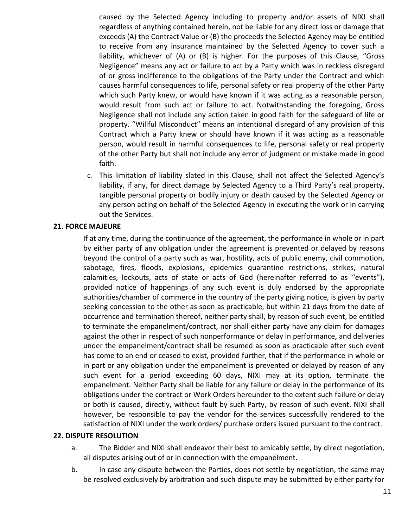caused by the Selected Agency including to property and/or assets of NIXI shall regardless of anything contained herein, not be liable for any direct loss or damage that exceeds (A) the Contract Value or (B) the proceeds the Selected Agency may be entitled to receive from any insurance maintained by the Selected Agency to cover such a liability, whichever of (A) or (B) is higher. For the purposes of this Clause, "Gross Negligence" means any act or failure to act by a Party which was in reckless disregard of or gross indifference to the obligations of the Party under the Contract and which causes harmful consequences to life, personal safety or real property of the other Party which such Party knew, or would have known if it was acting as a reasonable person, would result from such act or failure to act. Notwithstanding the foregoing, Gross Negligence shall not include any action taken in good faith for the safeguard of life or property. "Willful Misconduct" means an intentional disregard of any provision of this Contract which a Party knew or should have known if it was acting as a reasonable person, would result in harmful consequences to life, personal safety or real property of the other Party but shall not include any error of judgment or mistake made in good faith.

c. This limitation of liability slated in this Clause, shall not affect the Selected Agency's liability, if any, for direct damage by Selected Agency to a Third Party's real property, tangible personal property or bodily injury or death caused by the Selected Agency or any person acting on behalf of the Selected Agency in executing the work or in carrying out the Services.

#### **21. FORCE MAJEURE**

If at any time, during the continuance of the agreement, the performance in whole or in part by either party of any obligation under the agreement is prevented or delayed by reasons beyond the control of a party such as war, hostility, acts of public enemy, civil commotion, sabotage, fires, floods, explosions, epidemics quarantine restrictions, strikes, natural calamities, lockouts, acts of state or acts of God (hereinafter referred to as "events"), provided notice of happenings of any such event is duly endorsed by the appropriate authorities/chamber of commerce in the country of the party giving notice, is given by party seeking concession to the other as soon as practicable, but within 21 days from the date of occurrence and termination thereof, neither party shall, by reason of such event, be entitled to terminate the empanelment/contract, nor shall either party have any claim for damages against the other in respect of such nonperformance or delay in performance, and deliveries under the empanelment/contract shall be resumed as soon as practicable after such event has come to an end or ceased to exist, provided further, that if the performance in whole or in part or any obligation under the empanelment is prevented or delayed by reason of any such event for a period exceeding 60 days, NIXI may at its option, terminate the empanelment. Neither Party shall be liable for any failure or delay in the performance of its obligations under the contract or Work Orders hereunder to the extent such failure or delay or both is caused, directly, without fault by such Party, by reason of such event. NIXI shall however, be responsible to pay the vendor for the services successfully rendered to the satisfaction of NIXI under the work orders/ purchase orders issued pursuant to the contract.

#### **22. DISPUTE RESOLUTION**

- a. The Bidder and NIXI shall endeavor their best to amicably settle, by direct negotiation, all disputes arising out of or in connection with the empanelment.
- b. In case any dispute between the Parties, does not settle by negotiation, the same may be resolved exclusively by arbitration and such dispute may be submitted by either party for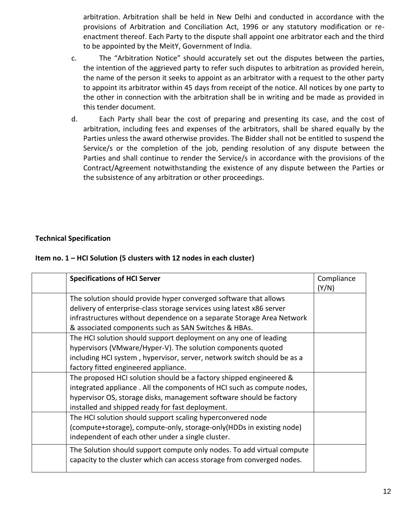arbitration. Arbitration shall be held in New Delhi and conducted in accordance with the provisions of Arbitration and Conciliation Act, 1996 or any statutory modification or reenactment thereof. Each Party to the dispute shall appoint one arbitrator each and the third to be appointed by the MeitY, Government of India.

- c. The "Arbitration Notice" should accurately set out the disputes between the parties, the intention of the aggrieved party to refer such disputes to arbitration as provided herein, the name of the person it seeks to appoint as an arbitrator with a request to the other party to appoint its arbitrator within 45 days from receipt of the notice. All notices by one party to the other in connection with the arbitration shall be in writing and be made as provided in this tender document.
- d. Each Party shall bear the cost of preparing and presenting its case, and the cost of arbitration, including fees and expenses of the arbitrators, shall be shared equally by the Parties unless the award otherwise provides. The Bidder shall not be entitled to suspend the Service/s or the completion of the job, pending resolution of any dispute between the Parties and shall continue to render the Service/s in accordance with the provisions of the Contract/Agreement notwithstanding the existence of any dispute between the Parties or the subsistence of any arbitration or other proceedings.

## **Technical Specification**

#### **Item no. 1 – HCI Solution (5 clusters with 12 nodes in each cluster)**

| <b>Specifications of HCI Server</b>                                     | Compliance |
|-------------------------------------------------------------------------|------------|
|                                                                         | (Y/N)      |
| The solution should provide hyper converged software that allows        |            |
| delivery of enterprise-class storage services using latest x86 server   |            |
| infrastructures without dependence on a separate Storage Area Network   |            |
| & associated components such as SAN Switches & HBAs.                    |            |
| The HCI solution should support deployment on any one of leading        |            |
| hypervisors (VMware/Hyper-V). The solution components quoted            |            |
| including HCI system, hypervisor, server, network switch should be as a |            |
| factory fitted engineered appliance.                                    |            |
| The proposed HCI solution should be a factory shipped engineered &      |            |
| integrated appliance. All the components of HCI such as compute nodes,  |            |
| hypervisor OS, storage disks, management software should be factory     |            |
| installed and shipped ready for fast deployment.                        |            |
| The HCI solution should support scaling hyperconvered node              |            |
| (compute+storage), compute-only, storage-only (HDDs in existing node)   |            |
| independent of each other under a single cluster.                       |            |
| The Solution should support compute only nodes. To add virtual compute  |            |
| capacity to the cluster which can access storage from converged nodes.  |            |
|                                                                         |            |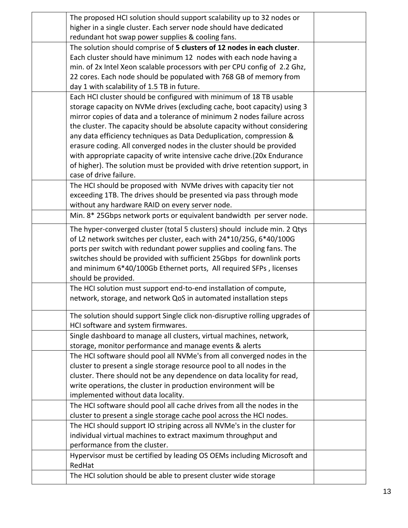| The proposed HCI solution should support scalability up to 32 nodes or                                                                          |  |
|-------------------------------------------------------------------------------------------------------------------------------------------------|--|
| higher in a single cluster. Each server node should have dedicated                                                                              |  |
| redundant hot swap power supplies & cooling fans.                                                                                               |  |
| The solution should comprise of 5 clusters of 12 nodes in each cluster.                                                                         |  |
| Each cluster should have minimum 12 nodes with each node having a                                                                               |  |
| min. of 2x Intel Xeon scalable processors with per CPU config of 2.2 Ghz,                                                                       |  |
| 22 cores. Each node should be populated with 768 GB of memory from                                                                              |  |
| day 1 with scalability of 1.5 TB in future.                                                                                                     |  |
| Each HCI cluster should be configured with minimum of 18 TB usable                                                                              |  |
| storage capacity on NVMe drives (excluding cache, boot capacity) using 3                                                                        |  |
| mirror copies of data and a tolerance of minimum 2 nodes failure across                                                                         |  |
| the cluster. The capacity should be absolute capacity without considering                                                                       |  |
| any data efficiency techniques as Data Deduplication, compression &                                                                             |  |
| erasure coding. All converged nodes in the cluster should be provided                                                                           |  |
| with appropriate capacity of write intensive cache drive.(20x Endurance                                                                         |  |
| of higher). The solution must be provided with drive retention support, in                                                                      |  |
| case of drive failure.                                                                                                                          |  |
| The HCI should be proposed with NVMe drives with capacity tier not                                                                              |  |
| exceeding 1TB. The drives should be presented via pass through mode                                                                             |  |
| without any hardware RAID on every server node.                                                                                                 |  |
| Min. 8* 25Gbps network ports or equivalent bandwidth per server node.                                                                           |  |
|                                                                                                                                                 |  |
| The hyper-converged cluster (total 5 clusters) should include min. 2 Qtys<br>of L2 network switches per cluster, each with 24*10/25G, 6*40/100G |  |
| ports per switch with redundant power supplies and cooling fans. The                                                                            |  |
| switches should be provided with sufficient 25Gbps for downlink ports                                                                           |  |
| and minimum 6*40/100Gb Ethernet ports, All required SFPs, licenses                                                                              |  |
| should be provided.                                                                                                                             |  |
| The HCI solution must support end-to-end installation of compute,                                                                               |  |
| network, storage, and network QoS in automated installation steps                                                                               |  |
|                                                                                                                                                 |  |
| The solution should support Single click non-disruptive rolling upgrades of                                                                     |  |
| HCI software and system firmwares.                                                                                                              |  |
| Single dashboard to manage all clusters, virtual machines, network,                                                                             |  |
| storage, monitor performance and manage events & alerts                                                                                         |  |
| The HCI software should pool all NVMe's from all converged nodes in the                                                                         |  |
| cluster to present a single storage resource pool to all nodes in the                                                                           |  |
| cluster. There should not be any dependence on data locality for read,                                                                          |  |
| write operations, the cluster in production environment will be                                                                                 |  |
| implemented without data locality.                                                                                                              |  |
| The HCI software should pool all cache drives from all the nodes in the                                                                         |  |
| cluster to present a single storage cache pool across the HCI nodes.                                                                            |  |
| The HCI should support IO striping across all NVMe's in the cluster for                                                                         |  |
| individual virtual machines to extract maximum throughput and                                                                                   |  |
| performance from the cluster.                                                                                                                   |  |
| Hypervisor must be certified by leading OS OEMs including Microsoft and                                                                         |  |
| RedHat                                                                                                                                          |  |
| The HCI solution should be able to present cluster wide storage                                                                                 |  |
|                                                                                                                                                 |  |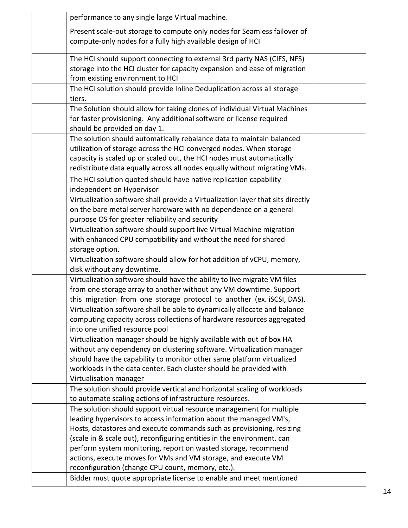| performance to any single large Virtual machine.                                                                                                                                                                                                                                                                                                                                                                                |  |
|---------------------------------------------------------------------------------------------------------------------------------------------------------------------------------------------------------------------------------------------------------------------------------------------------------------------------------------------------------------------------------------------------------------------------------|--|
| Present scale-out storage to compute only nodes for Seamless failover of<br>compute-only nodes for a fully high available design of HCI                                                                                                                                                                                                                                                                                         |  |
| The HCI should support connecting to external 3rd party NAS (CIFS, NFS)<br>storage into the HCI cluster for capacity expansion and ease of migration<br>from existing environment to HCI                                                                                                                                                                                                                                        |  |
| The HCI solution should provide Inline Deduplication across all storage<br>tiers.                                                                                                                                                                                                                                                                                                                                               |  |
| The Solution should allow for taking clones of individual Virtual Machines<br>for faster provisioning. Any additional software or license required<br>should be provided on day 1.                                                                                                                                                                                                                                              |  |
| The solution should automatically rebalance data to maintain balanced<br>utilization of storage across the HCI converged nodes. When storage<br>capacity is scaled up or scaled out, the HCI nodes must automatically<br>redistribute data equally across all nodes equally without migrating VMs.                                                                                                                              |  |
| The HCI solution quoted should have native replication capability<br>independent on Hypervisor                                                                                                                                                                                                                                                                                                                                  |  |
| Virtualization software shall provide a Virtualization layer that sits directly<br>on the bare metal server hardware with no dependence on a general<br>purpose OS for greater reliability and security                                                                                                                                                                                                                         |  |
| Virtualization software should support live Virtual Machine migration<br>with enhanced CPU compatibility and without the need for shared<br>storage option.                                                                                                                                                                                                                                                                     |  |
| Virtualization software should allow for hot addition of vCPU, memory,<br>disk without any downtime.                                                                                                                                                                                                                                                                                                                            |  |
| Virtualization software should have the ability to live migrate VM files<br>from one storage array to another without any VM downtime. Support<br>this migration from one storage protocol to another (ex. iSCSI, DAS).                                                                                                                                                                                                         |  |
| Virtualization software shall be able to dynamically allocate and balance<br>computing capacity across collections of hardware resources aggregated<br>into one unified resource pool                                                                                                                                                                                                                                           |  |
| Virtualization manager should be highly available with out of box HA<br>without any dependency on clustering software. Virtualization manager<br>should have the capability to monitor other same platform virtualized<br>workloads in the data center. Each cluster should be provided with<br>Virtualisation manager                                                                                                          |  |
| The solution should provide vertical and horizontal scaling of workloads<br>to automate scaling actions of infrastructure resources.                                                                                                                                                                                                                                                                                            |  |
| The solution should support virtual resource management for multiple<br>leading hypervisors to access information about the managed VM's,<br>Hosts, datastores and execute commands such as provisioning, resizing<br>(scale in & scale out), reconfiguring entities in the environment. can<br>perform system monitoring, report on wasted storage, recommend<br>actions, execute moves for VMs and VM storage, and execute VM |  |
| reconfiguration (change CPU count, memory, etc.).<br>Bidder must quote appropriate license to enable and meet mentioned                                                                                                                                                                                                                                                                                                         |  |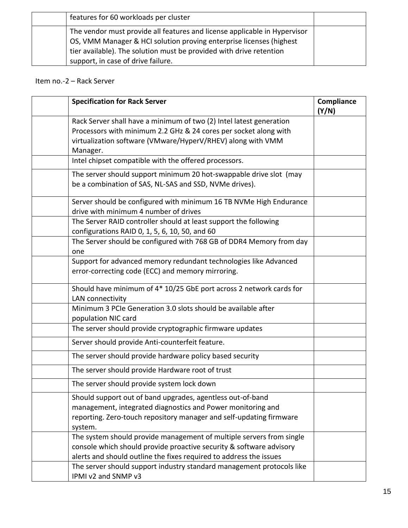| features for 60 workloads per cluster                                                                                                                                                                                                                         |  |
|---------------------------------------------------------------------------------------------------------------------------------------------------------------------------------------------------------------------------------------------------------------|--|
| The vendor must provide all features and license applicable in Hypervisor<br>OS, VMM Manager & HCI solution proving enterprise licenses (highest<br>tier available). The solution must be provided with drive retention<br>support, in case of drive failure. |  |

# Item no.-2 – Rack Server

| <b>Specification for Rack Server</b>                                                                                                                                                                               | Compliance<br>(Y/N) |
|--------------------------------------------------------------------------------------------------------------------------------------------------------------------------------------------------------------------|---------------------|
| Rack Server shall have a minimum of two (2) Intel latest generation<br>Processors with minimum 2.2 GHz & 24 cores per socket along with<br>virtualization software (VMware/HyperV/RHEV) along with VMM<br>Manager. |                     |
| Intel chipset compatible with the offered processors.                                                                                                                                                              |                     |
| The server should support minimum 20 hot-swappable drive slot (may<br>be a combination of SAS, NL-SAS and SSD, NVMe drives).                                                                                       |                     |
| Server should be configured with minimum 16 TB NVMe High Endurance<br>drive with minimum 4 number of drives                                                                                                        |                     |
| The Server RAID controller should at least support the following<br>configurations RAID 0, 1, 5, 6, 10, 50, and 60                                                                                                 |                     |
| The Server should be configured with 768 GB of DDR4 Memory from day<br>one                                                                                                                                         |                     |
| Support for advanced memory redundant technologies like Advanced<br>error-correcting code (ECC) and memory mirroring.                                                                                              |                     |
| Should have minimum of 4* 10/25 GbE port across 2 network cards for<br>LAN connectivity                                                                                                                            |                     |
| Minimum 3 PCIe Generation 3.0 slots should be available after<br>population NIC card                                                                                                                               |                     |
| The server should provide cryptographic firmware updates                                                                                                                                                           |                     |
| Server should provide Anti-counterfeit feature.                                                                                                                                                                    |                     |
| The server should provide hardware policy based security                                                                                                                                                           |                     |
| The server should provide Hardware root of trust                                                                                                                                                                   |                     |
| The server should provide system lock down                                                                                                                                                                         |                     |
| Should support out of band upgrades, agentless out-of-band<br>management, integrated diagnostics and Power monitoring and<br>reporting. Zero-touch repository manager and self-updating firmware<br>system.        |                     |
| The system should provide management of multiple servers from single<br>console which should provide proactive security & software advisory<br>alerts and should outline the fixes required to address the issues  |                     |
| The server should support industry standard management protocols like<br>IPMI v2 and SNMP v3                                                                                                                       |                     |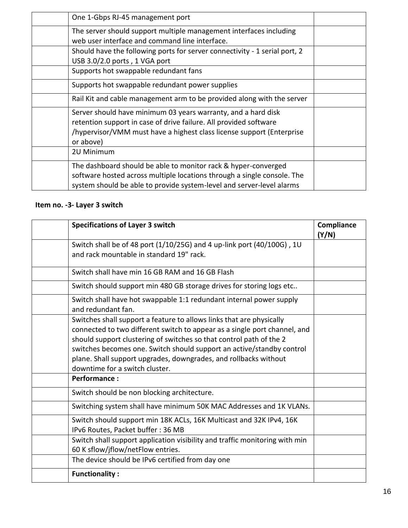| One 1-Gbps RJ-45 management port                                                                                                                                                                                         |  |
|--------------------------------------------------------------------------------------------------------------------------------------------------------------------------------------------------------------------------|--|
| The server should support multiple management interfaces including<br>web user interface and command line interface.                                                                                                     |  |
| Should have the following ports for server connectivity - 1 serial port, 2<br>USB 3.0/2.0 ports, 1 VGA port                                                                                                              |  |
| Supports hot swappable redundant fans                                                                                                                                                                                    |  |
| Supports hot swappable redundant power supplies                                                                                                                                                                          |  |
| Rail Kit and cable management arm to be provided along with the server                                                                                                                                                   |  |
| Server should have minimum 03 years warranty, and a hard disk<br>retention support in case of drive failure. All provided software<br>/hypervisor/VMM must have a highest class license support (Enterprise<br>or above) |  |
| 2U Minimum                                                                                                                                                                                                               |  |
| The dashboard should be able to monitor rack & hyper-converged<br>software hosted across multiple locations through a single console. The<br>system should be able to provide system-level and server-level alarms       |  |

# **Item no. -3- Layer 3 switch**

| <b>Specifications of Layer 3 switch</b>                                                                                                                                                                                                                                                                                                                                                                 | Compliance<br>(Y/N) |
|---------------------------------------------------------------------------------------------------------------------------------------------------------------------------------------------------------------------------------------------------------------------------------------------------------------------------------------------------------------------------------------------------------|---------------------|
| Switch shall be of 48 port (1/10/25G) and 4 up-link port (40/100G), 1U<br>and rack mountable in standard 19" rack.                                                                                                                                                                                                                                                                                      |                     |
| Switch shall have min 16 GB RAM and 16 GB Flash                                                                                                                                                                                                                                                                                                                                                         |                     |
| Switch should support min 480 GB storage drives for storing logs etc                                                                                                                                                                                                                                                                                                                                    |                     |
| Switch shall have hot swappable 1:1 redundant internal power supply<br>and redundant fan.                                                                                                                                                                                                                                                                                                               |                     |
| Switches shall support a feature to allows links that are physically<br>connected to two different switch to appear as a single port channel, and<br>should support clustering of switches so that control path of the 2<br>switches becomes one. Switch should support an active/standby control<br>plane. Shall support upgrades, downgrades, and rollbacks without<br>downtime for a switch cluster. |                     |
| <b>Performance:</b>                                                                                                                                                                                                                                                                                                                                                                                     |                     |
| Switch should be non blocking architecture.                                                                                                                                                                                                                                                                                                                                                             |                     |
| Switching system shall have minimum 50K MAC Addresses and 1K VLANs.                                                                                                                                                                                                                                                                                                                                     |                     |
| Switch should support min 18K ACLs, 16K Multicast and 32K IPv4, 16K<br>IPv6 Routes, Packet buffer: 36 MB                                                                                                                                                                                                                                                                                                |                     |
| Switch shall support application visibility and traffic monitoring with min<br>60 K sflow/jflow/netFlow entries.                                                                                                                                                                                                                                                                                        |                     |
| The device should be IPv6 certified from day one                                                                                                                                                                                                                                                                                                                                                        |                     |
| <b>Functionality:</b>                                                                                                                                                                                                                                                                                                                                                                                   |                     |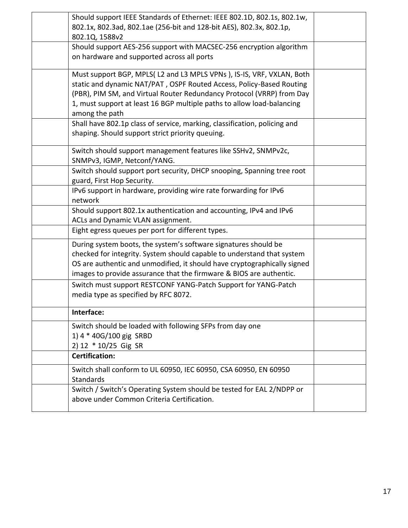| Should support IEEE Standards of Ethernet: IEEE 802.1D, 802.1s, 802.1w,<br>802.1x, 802.3ad, 802.1ae (256-bit and 128-bit AES), 802.3x, 802.1p,<br>802.1Q, 1588v2                                                                                                                                                  |  |
|-------------------------------------------------------------------------------------------------------------------------------------------------------------------------------------------------------------------------------------------------------------------------------------------------------------------|--|
| Should support AES-256 support with MACSEC-256 encryption algorithm<br>on hardware and supported across all ports                                                                                                                                                                                                 |  |
| Must support BGP, MPLS(L2 and L3 MPLS VPNs), IS-IS, VRF, VXLAN, Both<br>static and dynamic NAT/PAT, OSPF Routed Access, Policy-Based Routing<br>(PBR), PIM SM, and Virtual Router Redundancy Protocol (VRRP) from Day<br>1, must support at least 16 BGP multiple paths to allow load-balancing<br>among the path |  |
| Shall have 802.1p class of service, marking, classification, policing and<br>shaping. Should support strict priority queuing.                                                                                                                                                                                     |  |
| Switch should support management features like SSHv2, SNMPv2c,<br>SNMPv3, IGMP, Netconf/YANG.                                                                                                                                                                                                                     |  |
| Switch should support port security, DHCP snooping, Spanning tree root<br>guard, First Hop Security.                                                                                                                                                                                                              |  |
| IPv6 support in hardware, providing wire rate forwarding for IPv6<br>network                                                                                                                                                                                                                                      |  |
| Should support 802.1x authentication and accounting, IPv4 and IPv6<br>ACLs and Dynamic VLAN assignment.                                                                                                                                                                                                           |  |
| Eight egress queues per port for different types.                                                                                                                                                                                                                                                                 |  |
| During system boots, the system's software signatures should be<br>checked for integrity. System should capable to understand that system<br>OS are authentic and unmodified, it should have cryptographically signed<br>images to provide assurance that the firmware & BIOS are authentic.                      |  |
| Switch must support RESTCONF YANG-Patch Support for YANG-Patch<br>media type as specified by RFC 8072.                                                                                                                                                                                                            |  |
| Interface:                                                                                                                                                                                                                                                                                                        |  |
| Switch should be loaded with following SFPs from day one<br>1) 4 * 40G/100 gig SRBD<br>2) 12 * 10/25 Gig SR                                                                                                                                                                                                       |  |
| <b>Certification:</b>                                                                                                                                                                                                                                                                                             |  |
| Switch shall conform to UL 60950, IEC 60950, CSA 60950, EN 60950<br><b>Standards</b>                                                                                                                                                                                                                              |  |
| Switch / Switch's Operating System should be tested for EAL 2/NDPP or<br>above under Common Criteria Certification.                                                                                                                                                                                               |  |